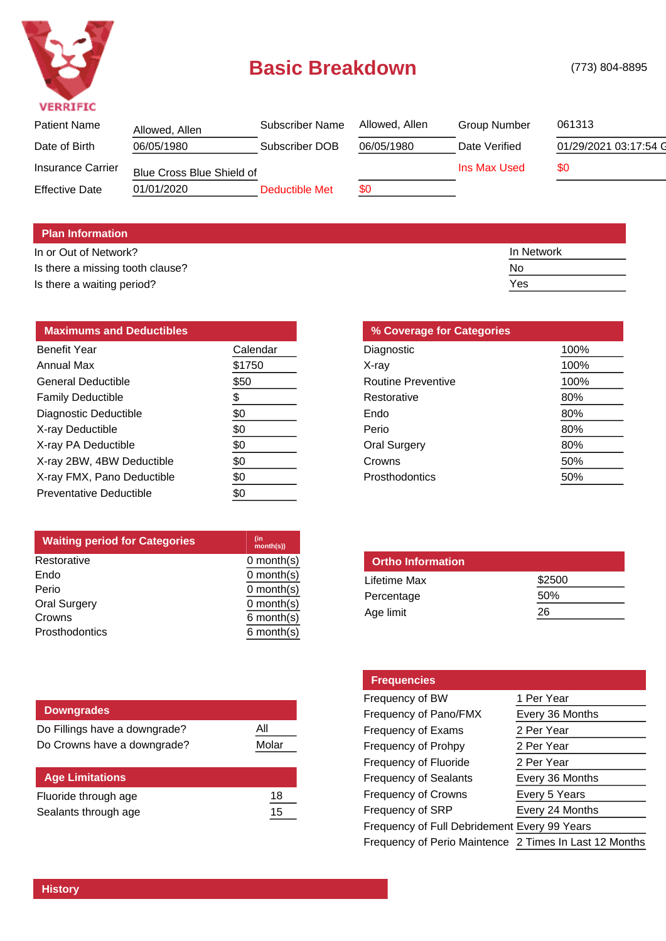

## **Basic Breakdown** (773) 804-8895

| Allowed, Allen | Subscriber Name | Allowed, Allen            | <b>Group Number</b> | 061313                |
|----------------|-----------------|---------------------------|---------------------|-----------------------|
| 06/05/1980     | Subscriber DOB  | 06/05/1980                | Date Verified       | 01/29/2021 03:17:54 G |
|                |                 |                           | Ins Max Used        | \$0                   |
| 01/01/2020     | Deductible Met  | \$0                       |                     |                       |
|                |                 | Blue Cross Blue Shield of |                     |                       |

## **Plan Information**

In or Out of Network? In Network and the United States of Network In Network In Network Is there a missing tooth clause? No Is there a waiting period? Yes

| <b>Maximums and Deductibles</b> |          |
|---------------------------------|----------|
| Benefit Year                    | Calendar |
| <b>Annual Max</b>               | \$1750   |
| <b>General Deductible</b>       | \$50     |
| <b>Family Deductible</b>        | \$       |
| Diagnostic Deductible           | \$0      |
| X-ray Deductible                | \$0      |
| X-ray PA Deductible             | \$0      |
| X-ray 2BW, 4BW Deductible       | \$0      |
| X-ray FMX, Pano Deductible      | \$0      |
| Preventative Deductible         | \$0      |

| (in<br>month(s)) |
|------------------|
| $0$ month $(s)$  |
| $0$ month $(s)$  |
| $0$ month $(s)$  |
| $0$ month $(s)$  |
| $6$ month $(s)$  |
| $6$ month $(s)$  |
|                  |

| <b>Downgrades</b>             |       |
|-------------------------------|-------|
| Do Fillings have a downgrade? | All   |
| Do Crowns have a downgrade?   | Molar |
|                               |       |
| <b>Age Limitations</b>        |       |
| Fluoride through age          | 18    |
| Sealants through age          | 15    |

| % Coverage for Categories |      |  |  |
|---------------------------|------|--|--|
| Diagnostic                | 100% |  |  |
| X-ray                     | 100% |  |  |
| Routine Preventive        | 100% |  |  |
| Restorative               | 80%  |  |  |
| Endo                      | 80%  |  |  |
| Perio                     | 80%  |  |  |
| <b>Oral Surgery</b>       | 80%  |  |  |
| Crowns                    | 50%  |  |  |
| Prosthodontics            | 50%  |  |  |

| <b>Ortho Information</b> |        |
|--------------------------|--------|
| Lifetime Max             | \$2500 |
| Percentage               | 50%    |
| Age limit                | 26     |
|                          |        |

| <b>Frequencies</b>                                     |                 |  |
|--------------------------------------------------------|-----------------|--|
| Frequency of BW                                        | 1 Per Year      |  |
| Frequency of Pano/FMX                                  | Every 36 Months |  |
| Frequency of Exams                                     | 2 Per Year      |  |
| Frequency of Prohpy                                    | 2 Per Year      |  |
| Frequency of Fluoride                                  | 2 Per Year      |  |
| <b>Frequency of Sealants</b>                           | Every 36 Months |  |
| <b>Frequency of Crowns</b>                             | Every 5 Years   |  |
| Frequency of SRP                                       | Every 24 Months |  |
| Frequency of Full Debridement Every 99 Years           |                 |  |
| Frequency of Perio Maintence 2 Times In Last 12 Months |                 |  |